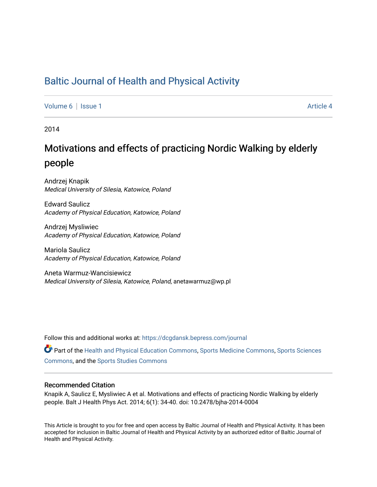# [Baltic Journal of Health and Physical Activity](https://dcgdansk.bepress.com/journal)

[Volume 6](https://dcgdansk.bepress.com/journal/vol6) | [Issue 1](https://dcgdansk.bepress.com/journal/vol6/iss1) Article 4

2014

# Motivations and effects of practicing Nordic Walking by elderly people

Andrzej Knapik Medical University of Silesia, Katowice, Poland

Edward Saulicz Academy of Physical Education, Katowice, Poland

Andrzej Mysliwiec Academy of Physical Education, Katowice, Poland

Mariola Saulicz Academy of Physical Education, Katowice, Poland

Aneta Warmuz-Wancisiewicz Medical University of Silesia, Katowice, Poland, anetawarmuz@wp.pl

Follow this and additional works at: [https://dcgdansk.bepress.com/journal](https://dcgdansk.bepress.com/journal?utm_source=dcgdansk.bepress.com%2Fjournal%2Fvol6%2Fiss1%2F4&utm_medium=PDF&utm_campaign=PDFCoverPages)

Part of the [Health and Physical Education Commons](http://network.bepress.com/hgg/discipline/1327?utm_source=dcgdansk.bepress.com%2Fjournal%2Fvol6%2Fiss1%2F4&utm_medium=PDF&utm_campaign=PDFCoverPages), [Sports Medicine Commons,](http://network.bepress.com/hgg/discipline/1331?utm_source=dcgdansk.bepress.com%2Fjournal%2Fvol6%2Fiss1%2F4&utm_medium=PDF&utm_campaign=PDFCoverPages) [Sports Sciences](http://network.bepress.com/hgg/discipline/759?utm_source=dcgdansk.bepress.com%2Fjournal%2Fvol6%2Fiss1%2F4&utm_medium=PDF&utm_campaign=PDFCoverPages) [Commons](http://network.bepress.com/hgg/discipline/759?utm_source=dcgdansk.bepress.com%2Fjournal%2Fvol6%2Fiss1%2F4&utm_medium=PDF&utm_campaign=PDFCoverPages), and the [Sports Studies Commons](http://network.bepress.com/hgg/discipline/1198?utm_source=dcgdansk.bepress.com%2Fjournal%2Fvol6%2Fiss1%2F4&utm_medium=PDF&utm_campaign=PDFCoverPages) 

#### Recommended Citation

Knapik A, Saulicz E, Mysliwiec A et al. Motivations and effects of practicing Nordic Walking by elderly people. Balt J Health Phys Act. 2014; 6(1): 34-40. doi: 10.2478/bjha-2014-0004

This Article is brought to you for free and open access by Baltic Journal of Health and Physical Activity. It has been accepted for inclusion in Baltic Journal of Health and Physical Activity by an authorized editor of Baltic Journal of Health and Physical Activity.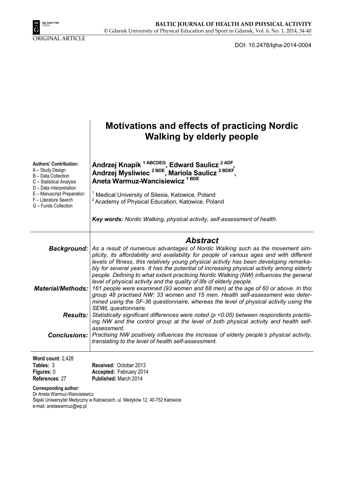

DOI: 10.2478/bjha-2014-0004

|                                                                                                                                                                                                                | <b>Motivations and effects of practicing Nordic</b><br><b>Walking by elderly people</b>                                                                                                                                                                                                                                                                                                                                                                                                                                                                                                                                                                                                                                                                                                                            |
|----------------------------------------------------------------------------------------------------------------------------------------------------------------------------------------------------------------|--------------------------------------------------------------------------------------------------------------------------------------------------------------------------------------------------------------------------------------------------------------------------------------------------------------------------------------------------------------------------------------------------------------------------------------------------------------------------------------------------------------------------------------------------------------------------------------------------------------------------------------------------------------------------------------------------------------------------------------------------------------------------------------------------------------------|
| <b>Authors' Contribution:</b><br>A - Study Design<br>B - Data Collection<br>C - Statistical Analysis<br>D - Data Interpretation<br>E - Manuscript Preparation<br>F - Literature Search<br>G - Funds Collection | Andrzej Knapik <sup>1 ABCDEG</sup> , Edward Saulicz <sup>2 ADF</sup> ,<br>Andrzej Mysliwiec <sup>2 BDE</sup> , Mariola Saulicz <sup>2 BDEF</sup> ,<br>Aneta Warmuz-Wancisiewicz <sup>1BDE</sup>                                                                                                                                                                                                                                                                                                                                                                                                                                                                                                                                                                                                                    |
|                                                                                                                                                                                                                | <sup>1</sup> Medical University of Silesia, Katowice, Poland<br><sup>2</sup> Academy of Physical Education, Katowice, Poland                                                                                                                                                                                                                                                                                                                                                                                                                                                                                                                                                                                                                                                                                       |
|                                                                                                                                                                                                                | Key words: Nordic Walking, physical activity, self-assessment of health.                                                                                                                                                                                                                                                                                                                                                                                                                                                                                                                                                                                                                                                                                                                                           |
|                                                                                                                                                                                                                | <b>Abstract</b>                                                                                                                                                                                                                                                                                                                                                                                                                                                                                                                                                                                                                                                                                                                                                                                                    |
| <b>Material/Methods:</b>                                                                                                                                                                                       | Background:   As a result of numerous advantages of Nordic Walking such as the movement sim-<br>plicity, its affordability and availability for people of various ages and with different<br>levels of fitness, this relatively young physical activity has been developing remarka-<br>bly for several years. It has the potential of increasing physical activity among elderly<br>people. Defining to what extent practicing Nordic Walking (NW) influences the general<br>level of physical activity and the quality of life of elderly people.<br>161 people were examined (93 women and 68 men) at the age of 60 or above. In this<br>group 48 practised NW: 33 women and 15 men. Health self-assessment was deter-<br>mined using the SF-36 questionnaire, whereas the level of physical activity using the |
| <b>Results:</b>                                                                                                                                                                                                | SEWL questionnaire.<br>Statistically significant differences were noted ( $p$ <0.05) between respondents practis-<br>ing NW and the control group at the level of both physical activity and health self-<br>assessment.                                                                                                                                                                                                                                                                                                                                                                                                                                                                                                                                                                                           |
|                                                                                                                                                                                                                | <b>Conclusions:</b> Practising NW positively influences the increase of elderly people's physical activity,<br>translating to the level of health self-assessment.                                                                                                                                                                                                                                                                                                                                                                                                                                                                                                                                                                                                                                                 |
| Word count: 2,428<br>Tables: 3<br>Figures: 0<br>References: 27                                                                                                                                                 | Received: October 2013<br>Accepted: February 2014<br>Published: March 2014                                                                                                                                                                                                                                                                                                                                                                                                                                                                                                                                                                                                                                                                                                                                         |

**Corresponding author:** 

Dr Aneta Warmuz-Wancisiewicz Śląski Uniwersytet Medyczny w Katowicach, ul. Medyków 12, 40-752 Katowice e-mail: anetawarmuz@wp.pl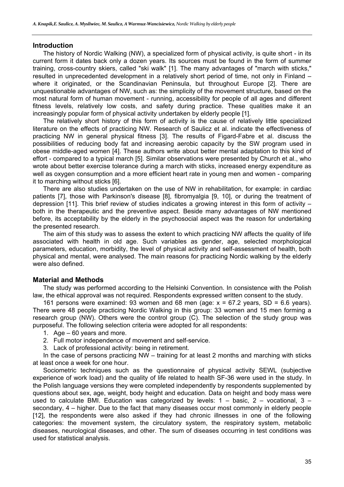#### **Introduction**

The history of Nordic Walking (NW), a specialized form of physical activity, is quite short - in its current form it dates back only a dozen years. Its sources must be found in the form of summer training, cross-country skiers, called "ski walk" [1]. The many advantages of "march with sticks," resulted in unprecedented development in a relatively short period of time, not only in Finland – where it originated, or the Scandinavian Peninsula, but throughout Europe [2]. There are unquestionable advantages of NW, such as: the simplicity of the movement structure, based on the most natural form of human movement - running, accessibility for people of all ages and different fitness levels, relatively low costs, and safety during practice. These qualities make it an increasingly popular form of physical activity undertaken by elderly people [1].

The relatively short history of this form of activity is the cause of relatively little specialized literature on the effects of practicing NW. Research of Saulicz et al. indicate the effectiveness of practicing NW in general physical fitness [3]. The results of Figard-Fabre et al. discuss the possibilities of reducing body fat and increasing aerobic capacity by the SW program used in obese middle-aged women [4]. These authors write about better mental adaptation to this kind of effort - compared to a typical march [5]. Similar observations were presented by Church et al., who wrote about better exercise tolerance during a march with sticks, increased energy expenditure as well as oxygen consumption and a more efficient heart rate in young men and women - comparing it to marching without sticks [6].

There are also studies undertaken on the use of NW in rehabilitation, for example: in cardiac patients [7], those with Parkinson's disease [8], fibromyalgia [9, 10], or during the treatment of depression [11]. This brief review of studies indicates a growing interest in this form of activity – both in the therapeutic and the preventive aspect. Beside many advantages of NW mentioned before, its acceptability by the elderly in the psychosocial aspect was the reason for undertaking the presented research.

The aim of this study was to assess the extent to which practicing NW affects the quality of life associated with health in old age. Such variables as gender, age, selected morphological parameters, education, morbidity, the level of physical activity and self-assessment of health, both physical and mental, were analysed. The main reasons for practicing Nordic walking by the elderly were also defined.

# **Material and Methods**

The study was performed according to the Helsinki Convention. In consistence with the Polish law, the ethical approval was not required. Respondents expressed written consent to the study.

161 persons were examined: 93 women and 68 men (age:  $x = 67.2$  years, SD = 6.6 years). There were 48 people practicing Nordic Walking in this group: 33 women and 15 men forming a research group (NW). Others were the control group (C). The selection of the study group was purposeful. The following selection criteria were adopted for all respondents:

- 1. Age 60 years and more.
- 2. Full motor independence of movement and self-service.
- 3. Lack of professional activity: being in retirement.

In the case of persons practicing NW – training for at least 2 months and marching with sticks at least once a week for one hour.

Sociometric techniques such as the questionnaire of physical activity SEWL (subjective experience of work load) and the quality of life related to health SF-36 were used in the study. In the Polish language versions they were completed independently by respondents supplemented by questions about sex, age, weight, body height and education. Data on height and body mass were used to calculate BMI. Education was categorized by levels:  $1 -$  basic,  $2 -$  vocational,  $3$ secondary, 4 – higher. Due to the fact that many diseases occur most commonly in elderly people [12], the respondents were also asked if they had chronic illnesses in one of the following categories: the movement system, the circulatory system, the respiratory system, metabolic diseases, neurological diseases, and other. The sum of diseases occurring in test conditions was used for statistical analysis.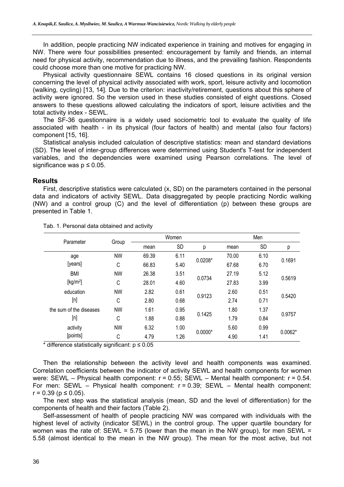In addition, people practicing NW indicated experience in training and motives for engaging in NW. There were four possibilities presented: encouragement by family and friends, an internal need for physical activity, recommendation due to illness, and the prevailing fashion. Respondents could choose more than one motive for practicing NW.

Physical activity questionnaire SEWL contains 16 closed questions in its original version concerning the level of physical activity associated with work, sport, leisure activity and locomotion (walking, cycling) [13, 14]. Due to the criterion: inactivity/retirement, questions about this sphere of activity were ignored. So the version used in these studies consisted of eight questions. Closed answers to these questions allowed calculating the indicators of sport, leisure activities and the total activity index - SEWL.

The SF-36 questionnaire is a widely used sociometric tool to evaluate the quality of life associated with health - in its physical (four factors of health) and mental (also four factors) component [15, 16].

Statistical analysis included calculation of descriptive statistics: mean and standard deviations (SD). The level of inter-group differences were determined using Student's T-test for independent variables, and the dependencies were examined using Pearson correlations. The level of significance was  $p \leq 0.05$ .

#### **Results**

First, descriptive statistics were calculated (x, SD) on the parameters contained in the personal data and indicators of activity SEWL. Data disaggregated by people practicing Nordic walking (NW) and a control group (C) and the level of differentiation (p) between these groups are presented in Table 1.

| Parameter               |           | Women |           |           | Men   |           |           |
|-------------------------|-----------|-------|-----------|-----------|-------|-----------|-----------|
|                         | Group     | mean  | <b>SD</b> | р         | mean  | <b>SD</b> | p         |
| age                     | <b>NW</b> | 69.39 | 6.11      | $0.0208*$ | 70.00 | 6.10      | 0.1691    |
| [years]                 | C         | 66.83 | 5.40      |           | 67.68 | 6.70      |           |
| <b>BMI</b>              | <b>NW</b> | 26.38 | 3.51      | 0.0734    | 27.19 | 5.12      | 0.5619    |
| [kg/m <sup>2</sup> ]    | C         | 28.01 | 4.60      |           | 27.83 | 3.99      |           |
| education               | <b>NW</b> | 2.82  | 0.61      | 0.9123    | 2.60  | 0.51      | 0.5420    |
| [n]                     | C         | 2.80  | 0.68      |           | 2.74  | 0.71      |           |
| the sum of the diseases | <b>NW</b> | 1.61  | 0.95      | 0.1425    | 1.80  | 1.37      | 0.9757    |
| [n]                     | C         | 1.88  | 0.88      |           | 1.79  | 0.84      |           |
| activity                | <b>NW</b> | 6.32  | 1.00      |           | 5.60  | 0.99      |           |
| [points]                | C         | 4.79  | 1.26      | $0.0000*$ | 4.90  | 1.41      | $0.0062*$ |

Tab. 1. Personal data obtained and activity

\* difference statistically significant:  $p \le 0.05$ 

Then the relationship between the activity level and health components was examined. Correlation coefficients between the indicator of activity SEWL and health components for women were: SEWL – Physical health component:  $r = 0.55$ ; SEWL – Mental health component:  $r = 0.54$ . For men: SEWL – Physical health component: r = 0.39; SEWL – Mental health component:  $r = 0.39$  ( $p \le 0.05$ ).

The next step was the statistical analysis (mean, SD and the level of differentiation) for the components of health and their factors (Table 2).

Self-assessment of health of people practicing NW was compared with individuals with the highest level of activity (indicator SEWL) in the control group. The upper quartile boundary for women was the rate of: SEWL =  $5.75$  (lower than the mean in the NW group), for men SEWL = 5.58 (almost identical to the mean in the NW group). The mean for the most active, but not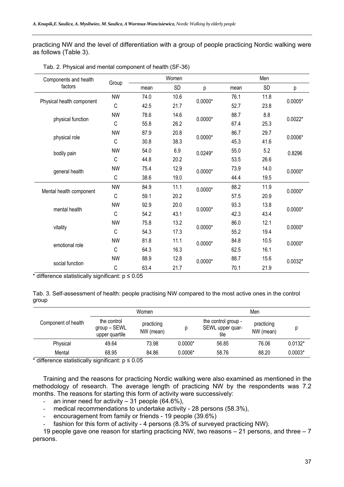practicing NW and the level of differentiation with a group of people practicing Nordic walking were as follows (Table 3).

| Components and health<br>factors |           | Women |      |           | Men  |      |           |
|----------------------------------|-----------|-------|------|-----------|------|------|-----------|
|                                  | Group     | mean  | SD   | р         | mean | SD   | р         |
| Physical health component        | <b>NW</b> | 74.0  | 10.6 | $0.0000*$ | 76.1 | 11.8 |           |
|                                  | C         | 42.5  | 21.7 |           | 52.7 | 23.8 | $0.0005*$ |
| physical function                | <b>NW</b> | 78.6  | 14.6 |           | 88.7 | 8.8  | $0.0022*$ |
|                                  | C         | 55.8  | 26.2 | $0.0000*$ | 67.4 | 25.3 |           |
| physical role                    | <b>NW</b> | 87.9  | 20.8 |           | 86.7 | 29.7 | $0.0006*$ |
|                                  | C         | 30.8  | 38.3 | $0.0000*$ | 45.3 | 41.6 |           |
| bodily pain                      | <b>NW</b> | 54.0  | 6.9  | $0.0249*$ | 55.0 | 5.2  | 0.8296    |
|                                  | C         | 44.8  | 20.2 |           | 53.5 | 26.6 |           |
| general health                   | <b>NW</b> | 75.4  | 12.9 | $0.0000*$ | 73.9 | 14.0 | $0.0000*$ |
|                                  | C         | 38.6  | 19.0 |           | 44.4 | 19.5 |           |
|                                  | <b>NW</b> | 84.9  | 11.1 | $0.0000*$ | 88.2 | 11.9 | $0.0000*$ |
| Mental health component          | C         | 59.1  | 20.2 |           | 57.5 | 20.9 |           |
| mental health                    | <b>NW</b> | 92.9  | 20.0 | $0.0000*$ | 93.3 | 13.8 | $0.0000*$ |
|                                  | C         | 54.2  | 43.1 |           | 42.3 | 43.4 |           |
| vitality                         | <b>NW</b> | 75.8  | 13.2 | $0.0000*$ | 86.0 | 12.1 | $0.0000*$ |
|                                  | C         | 54.3  | 17.3 |           | 55.2 | 19.4 |           |
| emotional role                   | <b>NW</b> | 81.8  | 11.1 | $0.0000*$ | 84.8 | 10.5 | $0.0000*$ |
|                                  | C         | 64.3  | 16.3 |           | 62.5 | 16.1 |           |
|                                  | <b>NW</b> | 88.9  | 12.8 | $0.0000*$ | 88.7 | 15.6 | $0.0032*$ |
| social function                  | C         | 63.4  | 21.7 |           | 70.1 | 21.9 |           |

Tab. 2. Physical and mental component of health (SF-36)

\* difference statistically significant:  $p \le 0.05$ 

Tab. 3. Self-assessment of health: people practising NW compared to the most active ones in the control group

|                     | Women                                         |                         |           | Men                                             |                         |           |  |
|---------------------|-----------------------------------------------|-------------------------|-----------|-------------------------------------------------|-------------------------|-----------|--|
| Component of health | the control<br>group – SEWL<br>upper quartile | practicing<br>NW (mean) |           | the control group -<br>SEWL upper quar-<br>tile | practicing<br>NW (mean) |           |  |
| Physical            | 49.64                                         | 73.98                   | $0.0000*$ | 56.85                                           | 76.06                   | $0.0132*$ |  |
| Mental              | 68.95                                         | 84.86                   | $0.0006*$ | 58.76                                           | 88.20                   | $0.0003*$ |  |

\* difference statistically significant:  $p \le 0.05$ 

Training and the reasons for practicing Nordic walking were also examined as mentioned in the methodology of research. The average length of practicing NW by the respondents was 7.2 months. The reasons for starting this form of activity were successively:

- an inner need for activity  $-31$  people (64.6%),
- medical recommendations to undertake activity 28 persons (58.3%),
- encouragement from family or friends 19 people (39.6%)
- fashion for this form of activity 4 persons (8.3% of surveyed practicing NW).

19 people gave one reason for starting practicing NW, two reasons – 21 persons, and three – 7 persons.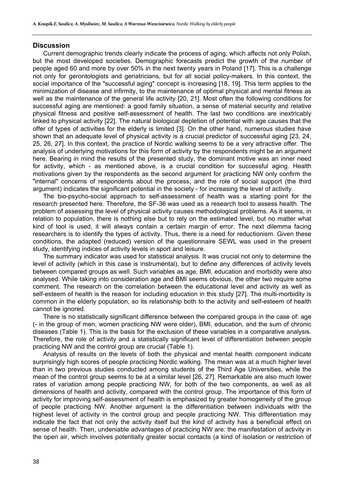### **Discussion**

Current demographic trends clearly indicate the process of aging, which affects not only Polish, but the most developed societies. Demographic forecasts predict the growth of the number of people aged 60 and more by over 50% in the next twenty years in Poland [17]. This is a challenge not only for gerontologists and geriatricians, but for all social policy-makers. In this context, the social importance of the "successful aging" concept is increasing [18, 19]. This term applies to the minimization of disease and infirmity, to the maintenance of optimal physical and mental fitness as well as the maintenance of the general life activity [20, 21]. Most often the following conditions for successful aging are mentioned: a good family situation, a sense of material security and relative physical fitness and positive self-assessment of health. The last two conditions are inextricably linked to physical activity [22]. The natural biological depletion of potential with age causes that the offer of types of activities for the elderly is limited [3]. On the other hand, numerous studies have shown that an adequate level of physical activity is a crucial predictor of successful aging [23, 24, 25, 26, 27]. In this context, the practice of Nordic walking seems to be a very attractive offer. The analysis of underlying motivations for this form of activity by the respondents might be an argument here. Bearing in mind the results of the presented study, the dominant motive was an inner need for activity, which - as mentioned above, is a crucial condition for successful aging. Health motivations given by the respondents as the second argument for practicing NW only confirm the "internal" concerns of respondents about the process, and the role of social support (the third argument) indicates the significant potential in the society - for increasing the level of activity.

The bio-psycho-social approach to self-assessment of health was a starting point for the research presented here. Therefore, the SF-36 was used as a research tool to assess health. The problem of assessing the level of physical activity causes methodological problems. As it seems, in relation to population, there is nothing else but to rely on the estimated level, but no matter what kind of tool is used, it will always contain a certain margin of error. The next dilemma facing researchers is to identify the types of activity. Thus, there is a need for reductionism. Given these conditions, the adapted (reduced) version of the questionnaire SEWL was used in the present study, identifying indices of activity levels in sport and leisure.

The summary indicator was used for statistical analysis. It was crucial not only to determine the level of activity (which in this case is instrumental), but to define any differences of activity levels between compared groups as well. Such variables as age, BMI, education and morbidity were also analysed. While taking into consideration age and BMI seems obvious, the other two require some comment. The research on the correlation between the educational level and activity as well as self-esteem of health is the reason for including education in this study [27]. The multi-morbidity is common in the elderly population, so its relationship both to the activity and self-esteem of health cannot be ignored.

There is no statistically significant difference between the compared groups in the case of: age (- in the group of men, women practicing NW were older), BMI, education, and the sum of chronic diseases (Table 1). This is the basis for the exclusion of these variables in a comparative analysis. Therefore, the role of activity and a statistically significant level of differentiation between people practicing NW and the control group are crucial (Table 1).

Analysis of results on the levels of both the physical and mental health component indicate surprisingly high scores of people practicing Nordic walking. The mean was at a much higher level than in two previous studies conducted among students of the Third Age Universities, while the mean of the control group seems to be at a similar level [26, 27]. Remarkable are also much lower rates of variation among people practicing NW, for both of the two components, as well as all dimensions of health and activity, compared with the control group. The importance of this form of activity for improving self-assessment of health is emphasized by greater homogeneity of the group of people practicing NW. Another argument is the differentiation between individuals with the highest level of activity in the control group and people practicing NW. This differentiation may indicate the fact that not only the activity itself but the kind of activity has a beneficial effect on sense of health. Then, undeniable advantages of practicing NW are: the manifestation of activity in the open air, which involves potentially greater social contacts (a kind of isolation or restriction of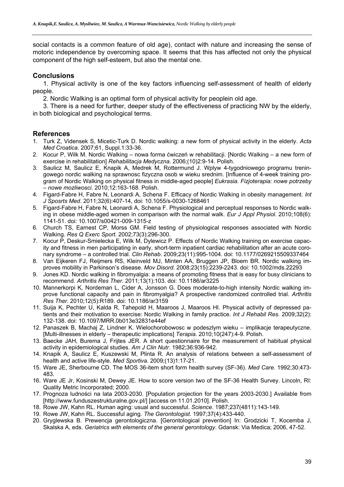social contacts is a common feature of old age), contact with nature and increasing the sense of motoric independence by overcoming space. It seems that this has affected not only the physical component of the high self-esteem, but also the mental one.

# **Conclusions**

1. Physical activity is one of the key factors influencing self-assessment of health of elderly people.

2. Nordic Walking is an optimal form of physical activity for peoplein old age.

3. There is a need for further, deeper study of the effectiveness of practicing NW by the elderly, in both biological and psychological terms.

# **References**

- 1. Turk Z, Vidensek S, Micetic-Turk D. Nordic walking: a new form of physical activity in the elderly. *Acta Med Croatica*. 2007;61, Suppl.1:33-36.
- 2. Kocur P, Wilk M. Nordic Walking nowa forma ćwiczeń w rehabilitacji. [Nordic Walking a new form of exercise in rehabilitation] *Rehabilitacja Medyczna.* 2006;(10)2:9-14. Polish.
- 3. Saulicz M, Saulicz E, Knapik A, Medrek M, Rottermund J. Wplyw 4-tygodniowego programu treningowego nordic walking na sprawnosc fizyczna osob w wieku srednim. [Influence of 4-week training program of Nordic Walking on physical fitness in middle-aged people] *Eukrasia. Fizjoterapia: nowe potrzeby – nowe mozliwosci*. 2010;12:163-168. Polish.
- 4. Figard-Fabre H, Fabre N, Leonardi A, Schena F. Efficacy of Nordic Walking in obesity management. *Int J Sposrts Med*. 2011;32(6):407-14, doi: 10.1055/s-0030-1268461
- 5. Figard-Fabre H, Fabre N, Leonardi A, Schena F. Physiological and perceptual responses to Nordic walking in obese middle-aged women in comparison with the normal walk. *Eur J Appl Physiol*. 2010;108(6): 1141-51. doi: 10.1007/s00421-009-1315-z
- 6. Church TS, Earnest CP, Morss GM. Field testing of physiological responses associated with Nordic Walking. *Res Q Exerc Sport*. 2002;73(3):296-300.
- 7. Kocur P, Deskur-Smielecka E, Wilk M, Dylewicz P. Effects of Nordic Walking training on exercise capacity and fitness in men participating in early, short-term inpatient cardiac rehabilitation after an acute coronary syndrome – a controlled trial. *Clin Rehab*. 2009;23(11):995-1004. doi: 10.1177/0269215509337464
- 8. Van Eijkeren FJ, Reijmers RS, Kleinveld MJ, Minten AA, Bruggen JP, Bloem BR. Nordic walking improves mobility in Parkinson's disease. *Mov Disord.* 2008;23(15):2239-2243. doi: 10.1002/mds.22293
- 9. Jones KD. Nordic walking in fibromyalgia: a means of promoting fitness that is easy for busy clinicians to recommend. *Arthritis Res Ther*. 2011;13(1):103. doi: 10.1186/ar3225
- 10. Mannerkorpi K, Nordeman L, Cider A, Jonsson G. Does moderate-to-high intensity Nordic walking improve functional capacity and pain in fibromyalgia? A prospective randomized controlled trial. *Arthritis Res Ther.* 2010;12(5):R189. doi: 10.1186/ar3159
- 11. Suija K, Pechter U, Kalda R, Tahepold H, Maaroos J, Maaroos HI. Physical activity of depressed patients and their motivation to exercise: Nordic Walking in family practice. *Int J Rehabil Res.* 2009;32(2): 132-138. doi: 10.1097/MRR.0b013e32831e44ef
- 12. Panaszek B, Machaj Z, Lindner K. Wielochorobowosc w podeszlym wieku implikacje terapeutyczne. [Multi-illnesses in elderly – therapeutic implications] *Terapia*. 2010;10(247):4-9. Polish.
- 13. Baecke JAH, Burema J, Frijtes JER. A short questionnaire for the measurement of habitual physical activity in epidemiological studies. *Am J Clin Nutr*. 1982;36:936-942.
- 14. Knapik A, Saulicz E, Kuszewski M, Plinta R. An analysis of relations between a self-assessment of health and active life-style. *Med Sportiva*. 2009;(13)1:17-21.
- 15. Ware JE, Sherbourne CD. The MOS 36-item short form health survey (SF-36). *Med Care.* 1992;30:473- 483.
- 16. Ware JE Jr, Kosinski M, Dewey JE. How to score version two of the SF-36 Health Survey. Lincoln, RI: Quality Metric Incorporated; 2000.
- 17. Prognoza ludności na lata 2003-2030. [Population projection for the years 2003-2030.] Available from [http://www.funduszestrukturalne.gov.pl/] [access on 11.01.2010]. Polish.
- 18. Rowe JW, Kahn RL. Human aging: usual and successful. *Science*. 1987;237(4811):143-149.
- 19. Rowe JW, Kahn RL. Successful aging. *The Gerontologist*. 1997;37(4):433-440.
- 20. Gryglewska B. Prewencja gerontologiczna. [Gerontological prevention] In: Grodzicki T, Kocemba J, Skalska A, eds. *Geriatrics with elements of the general gerontology*. Gdansk: Via Medica; 2006, 47-52.